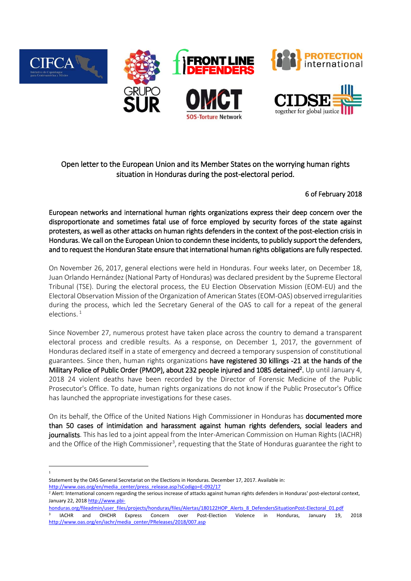

## Open letter to the European Union and its Member States on the worrying human rights situation in Honduras during the post-electoral period.

6 of February 2018

European networks and international human rights organizations express their deep concern over the disproportionate and sometimes fatal use of force employed by security forces of the state against protesters, as well as other attacks on human rights defenders in the context of the post-election crisis in Honduras. We call on the European Union to condemn these incidents, to publicly support the defenders, and to request the Honduran State ensure that international human rights obligations are fully respected.

On November 26, 2017, general elections were held in Honduras. Four weeks later, on December 18, Juan Orlando Hernández (National Party of Honduras) was declared president by the Supreme Electoral Tribunal (TSE). During the electoral process, the EU Election Observation Mission (EOM-EU) and the Electoral Observation Mission of the Organization of American States (EOM-OAS) observed irregularities during the process, which led the Secretary General of the OAS to call for a repeat of the general elections. 1

Since November 27, numerous protest have taken place across the country to demand a transparent electoral process and credible results. As a response, on December 1, 2017, the government of Honduras declared itself in a state of emergency and decreed a temporary suspension of constitutional guarantees. Since then, human rights organizations have registered 30 killings -21 at the hands of the Military Police of Public Order (PMOP), about 232 people injured and 1085 detained<sup>2</sup>. Up until January 4, 2018 24 violent deaths have been recorded by the Director of Forensic Medicine of the Public Prosecutor's Office. To date, human rights organizations do not know if the Public Prosecutor's Office has launched the appropriate investigations for these cases.

On its behalf, the Office of the United Nations High Commissioner in Honduras has documented more than 50 cases of intimidation and harassment against human rights defenders, social leaders and journalists. This has led to a joint appeal from the Inter-American Commission on Human Rights (IACHR) and the Office of the High Commissioner<sup>3</sup>, requesting that the State of Honduras guarantee the right to

[http://www.oas.org/en/media\\_center/press\\_release.asp?sCodigo=E-092/17](http://www.oas.org/en/media_center/press_release.asp?sCodigo=E-092/17)

**<sup>.</sup>** 1

Statement by the OAS General Secretariat on the Elections in Honduras. December 17, 2017. Available in:

<sup>&</sup>lt;sup>2</sup> Alert: International concern regarding the serious increase of attacks against human rights defenders in Honduras' post-electoral context, January 22, 2018 [http://www.pbi-](http://www.pbi-honduras.org/fileadmin/user_files/projects/honduras/files/Alertas/180122HOP_Alerts_8_DefendersSituationPost-Electoral_01.pdf)

[honduras.org/fileadmin/user\\_files/projects/honduras/files/Alertas/180122HOP\\_Alerts\\_8\\_DefendersSituationPost-Electoral\\_01.pdf](http://www.pbi-honduras.org/fileadmin/user_files/projects/honduras/files/Alertas/180122HOP_Alerts_8_DefendersSituationPost-Electoral_01.pdf)

<sup>3</sup> IACHR and OHCHR Express Concern over Post-Election Violence in Honduras, January 19, 2018 [http://www.oas.org/en/iachr/media\\_center/PReleases/2018/007.asp](http://www.oas.org/en/iachr/media_center/PReleases/2018/007.asp)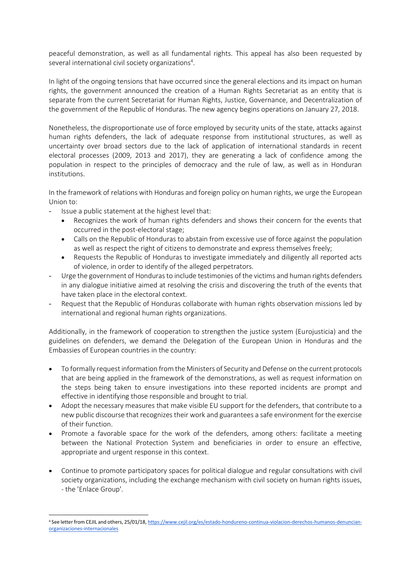peaceful demonstration, as well as all fundamental rights. This appeal has also been requested by several international civil society organizations<sup>4</sup>.

In light of the ongoing tensions that have occurred since the general elections and its impact on human rights, the government announced the creation of a Human Rights Secretariat as an entity that is separate from the current Secretariat for Human Rights, Justice, Governance, and Decentralization of the government of the Republic of Honduras. The new agency begins operations on January 27, 2018.

Nonetheless, the disproportionate use of force employed by security units of the state, attacks against human rights defenders, the lack of adequate response from institutional structures, as well as uncertainty over broad sectors due to the lack of application of international standards in recent electoral processes (2009, 2013 and 2017), they are generating a lack of confidence among the population in respect to the principles of democracy and the rule of law, as well as in Honduran institutions.

In the framework of relations with Honduras and foreign policy on human rights, we urge the European Union to:

- Issue a public statement at the highest level that:

1

- Recognizes the work of human rights defenders and shows their concern for the events that occurred in the post-electoral stage;
- Calls on the Republic of Honduras to abstain from excessive use of force against the population as well as respect the right of citizens to demonstrate and express themselves freely;
- Requests the Republic of Honduras to investigate immediately and diligently all reported acts of violence, in order to identify of the alleged perpetrators.
- Urge the government of Honduras to include testimonies of the victims and human rights defenders in any dialogue initiative aimed at resolving the crisis and discovering the truth of the events that have taken place in the electoral context.
- Request that the Republic of Honduras collaborate with human rights observation missions led by international and regional human rights organizations.

Additionally, in the framework of cooperation to strengthen the justice system (Eurojusticia) and the guidelines on defenders, we demand the Delegation of the European Union in Honduras and the Embassies of European countries in the country:

- To formally request information from the Ministers of Security and Defense on the current protocols that are being applied in the framework of the demonstrations, as well as request information on the steps being taken to ensure investigations into these reported incidents are prompt and effective in identifying those responsible and brought to trial.
- Adopt the necessary measures that make visible EU support for the defenders, that contribute to a new public discourse that recognizes their work and guarantees a safe environment for the exercise of their function.
- Promote a favorable space for the work of the defenders, among others: facilitate a meeting between the National Protection System and beneficiaries in order to ensure an effective, appropriate and urgent response in this context.
- Continue to promote participatory spaces for political dialogue and regular consultations with civil society organizations, including the exchange mechanism with civil society on human rights issues, - the 'Enlace Group'.

<sup>4</sup> See letter from CEJIL and others, 25/01/18[, https://www.cejil.org/es/estado-hondureno-continua-violacion-derechos-humanos-denuncian](https://www.cejil.org/es/estado-hondureno-continua-violacion-derechos-humanos-denuncian-organizaciones-internacionales)[organizaciones-internacionales](https://www.cejil.org/es/estado-hondureno-continua-violacion-derechos-humanos-denuncian-organizaciones-internacionales)